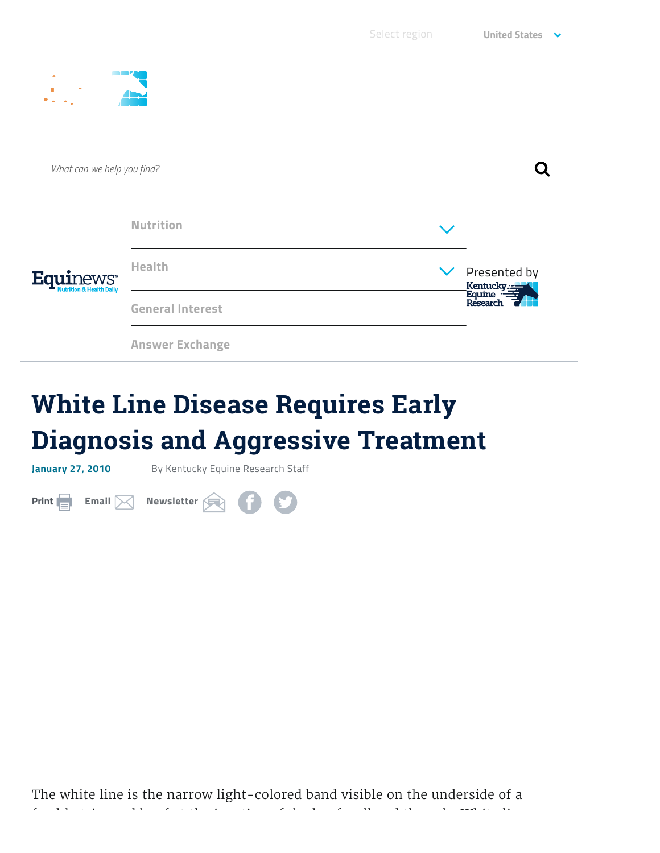| ٠<br>$\mathbf{D}_{\rm max}$<br>$\sim$                      |                         |  |                                                       |
|------------------------------------------------------------|-------------------------|--|-------------------------------------------------------|
| What can we help you find?                                 |                         |  |                                                       |
| <b>Equir</b><br>WS"<br><b>Nutrition &amp; Health Daily</b> | <b>Nutrition</b>        |  |                                                       |
|                                                            | <b>Health</b>           |  | $\vee$ Presented by<br>Kentucky<br>Equine<br>Research |
|                                                            | <b>General Interest</b> |  |                                                       |
|                                                            | <b>Answer Exchange</b>  |  |                                                       |

## **White Line Disease Requires Early Diagnosis and Aggressive Treatment**

**January 27, 2010** By Kentucky Equine Research Staff

**Print [Email](mailto:?&subject=White%20Line%20Disease%20Requires%20Early%20Diagnosis%20and%20Aggressive%20Treatment%20at%20FIXME&body=Check%20out%20White%20Line%20Disease%20Requires%20Early%20Diagnosis%20and%20Aggressive%20Treatment) [Newsletter](https://ker.com/newsletter/partner/) C**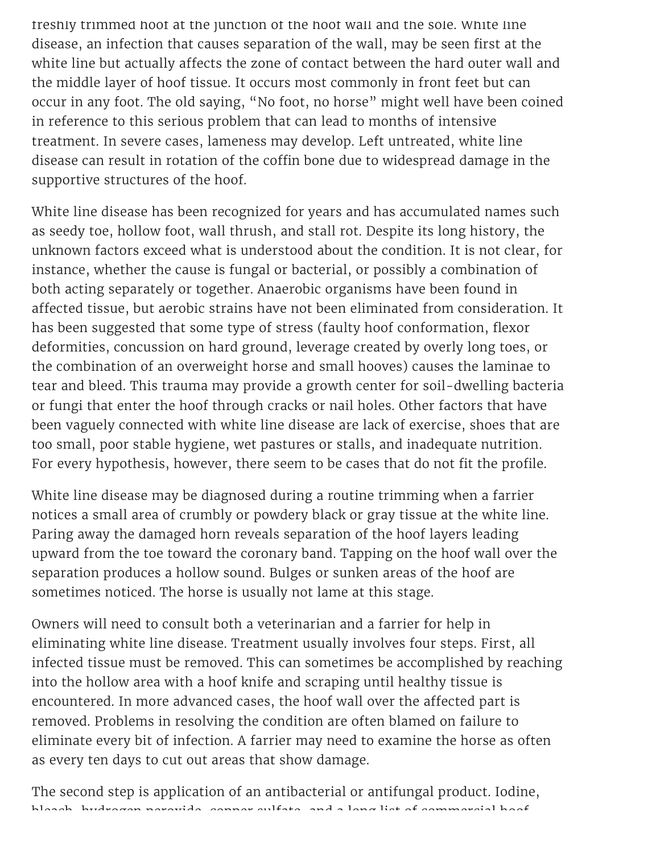freshly trimmed hoof at the junction of the hoof wall and the sole. White line disease, an infection that causes separation of the wall, may be seen first at the white line but actually affects the zone of contact between the hard outer wall and the middle layer of hoof tissue. It occurs most commonly in front feet but can occur in any foot. The old saying, "No foot, no horse" might well have been coined in reference to this serious problem that can lead to months of intensive treatment. In severe cases, lameness may develop. Left untreated, white line disease can result in rotation of the coffin bone due to widespread damage in the supportive structures of the hoof.

White line disease has been recognized for years and has accumulated names such as seedy toe, hollow foot, wall thrush, and stall rot. Despite its long history, the unknown factors exceed what is understood about the condition. It is not clear, for instance, whether the cause is fungal or bacterial, or possibly a combination of both acting separately or together. Anaerobic organisms have been found in affected tissue, but aerobic strains have not been eliminated from consideration. It has been suggested that some type of stress (faulty hoof conformation, flexor deformities, concussion on hard ground, leverage created by overly long toes, or the combination of an overweight horse and small hooves) causes the laminae to tear and bleed. This trauma may provide a growth center for soil-dwelling bacteria or fungi that enter the hoof through cracks or nail holes. Other factors that have been vaguely connected with white line disease are lack of exercise, shoes that are too small, poor stable hygiene, wet pastures or stalls, and inadequate nutrition. For every hypothesis, however, there seem to be cases that do not fit the profile.

White line disease may be diagnosed during a routine trimming when a farrier notices a small area of crumbly or powdery black or gray tissue at the white line. Paring away the damaged horn reveals separation of the hoof layers leading upward from the toe toward the coronary band. Tapping on the hoof wall over the separation produces a hollow sound. Bulges or sunken areas of the hoof are sometimes noticed. The horse is usually not lame at this stage.

Owners will need to consult both a veterinarian and a farrier for help in eliminating white line disease. Treatment usually involves four steps. First, all infected tissue must be removed. This can sometimes be accomplished by reaching into the hollow area with a hoof knife and scraping until healthy tissue is encountered. In more advanced cases, the hoof wall over the affected part is removed. Problems in resolving the condition are often blamed on failure to eliminate every bit of infection. A farrier may need to examine the horse as often as every ten days to cut out areas that show damage.

The second step is application of an antibacterial or antifungal product. Iodine, bleach, hydrogen peroxide, copper sulfate, and a long list of commercial hoof